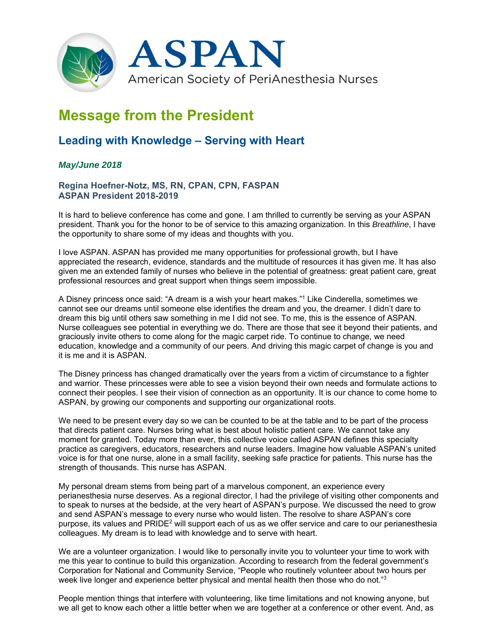

# **Message from the President**

# **Leading with Knowledge – Serving with Heart**

## *May/June 2018*

### **Regina Hoefner-Notz, MS, RN, CPAN, CPN, FASPAN ASPAN President 2018-2019**

It is hard to believe conference has come and gone. I am thrilled to currently be serving as your ASPAN president. Thank you for the honor to be of service to this amazing organization. In this *Breathline*, I have the opportunity to share some of my ideas and thoughts with you.

I love ASPAN. ASPAN has provided me many opportunities for professional growth, but I have appreciated the research, evidence, standards and the multitude of resources it has given me. It has also given me an extended family of nurses who believe in the potential of greatness: great patient care, great professional resources and great support when things seem impossible.

A Disney princess once said: "A dream is a wish your heart makes."1 Like Cinderella, sometimes we cannot see our dreams until someone else identifies the dream and you, the dreamer. I didn't dare to dream this big until others saw something in me I did not see. To me, this is the essence of ASPAN. Nurse colleagues see potential in everything we do. There are those that see it beyond their patients, and graciously invite others to come along for the magic carpet ride. To continue to change, we need education, knowledge and a community of our peers. And driving this magic carpet of change is you and it is me and it is ASPAN.

The Disney princess has changed dramatically over the years from a victim of circumstance to a fighter and warrior. These princesses were able to see a vision beyond their own needs and formulate actions to connect their peoples. I see their vision of connection as an opportunity. It is our chance to come home to ASPAN, by growing our components and supporting our organizational roots.

We need to be present every day so we can be counted to be at the table and to be part of the process that directs patient care. Nurses bring what is best about holistic patient care. We cannot take any moment for granted. Today more than ever, this collective voice called ASPAN defines this specialty practice as caregivers, educators, researchers and nurse leaders. Imagine how valuable ASPAN's united voice is for that one nurse, alone in a small facility, seeking safe practice for patients. This nurse has the strength of thousands. This nurse has ASPAN.

My personal dream stems from being part of a marvelous component, an experience every perianesthesia nurse deserves. As a regional director, I had the privilege of visiting other components and to speak to nurses at the bedside, at the very heart of ASPAN's purpose. We discussed the need to grow and send ASPAN's message to every nurse who would listen. The resolve to share ASPAN's core purpose, its values and  $PRIDE<sup>2</sup>$  will support each of us as we offer service and care to our perianesthesia colleagues. My dream is to lead with knowledge and to serve with heart.

We are a volunteer organization. I would like to personally invite you to volunteer your time to work with me this year to continue to build this organization. According to research from the federal government's Corporation for National and Community Service, "People who routinely volunteer about two hours per week live longer and experience better physical and mental health then those who do not."<sup>3</sup>

People mention things that interfere with volunteering, like time limitations and not knowing anyone, but we all get to know each other a little better when we are together at a conference or other event. And, as